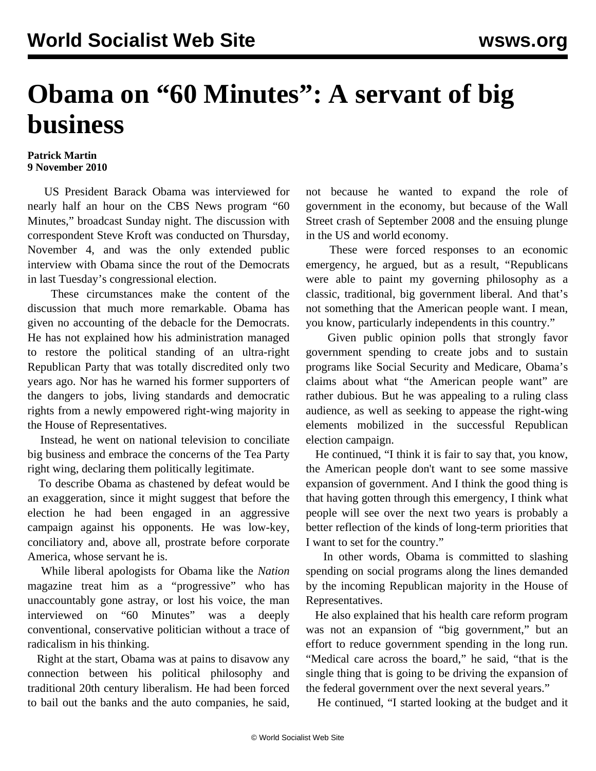## **Obama on "60 Minutes": A servant of big business**

## **Patrick Martin 9 November 2010**

 US President Barack Obama was interviewed for nearly half an hour on the CBS News program "60 Minutes," broadcast Sunday night. The discussion with correspondent Steve Kroft was conducted on Thursday, November 4, and was the only extended public interview with Obama since the rout of the Democrats in last Tuesday's congressional election.

 These circumstances make the content of the discussion that much more remarkable. Obama has given no accounting of the debacle for the Democrats. He has not explained how his administration managed to restore the political standing of an ultra-right Republican Party that was totally discredited only two years ago. Nor has he warned his former supporters of the dangers to jobs, living standards and democratic rights from a newly empowered right-wing majority in the House of Representatives.

 Instead, he went on national television to conciliate big business and embrace the concerns of the Tea Party right wing, declaring them politically legitimate.

 To describe Obama as chastened by defeat would be an exaggeration, since it might suggest that before the election he had been engaged in an aggressive campaign against his opponents. He was low-key, conciliatory and, above all, prostrate before corporate America, whose servant he is.

 While liberal apologists for Obama like the *Nation* magazine treat him as a "progressive" who has unaccountably gone astray, or lost his voice, the man interviewed on "60 Minutes" was a deeply conventional, conservative politician without a trace of radicalism in his thinking.

 Right at the start, Obama was at pains to disavow any connection between his political philosophy and traditional 20th century liberalism. He had been forced to bail out the banks and the auto companies, he said, not because he wanted to expand the role of government in the economy, but because of the Wall Street crash of September 2008 and the ensuing plunge in the US and world economy.

 These were forced responses to an economic emergency, he argued, but as a result, "Republicans were able to paint my governing philosophy as a classic, traditional, big government liberal. And that's not something that the American people want. I mean, you know, particularly independents in this country."

 Given public opinion polls that strongly favor government spending to create jobs and to sustain programs like Social Security and Medicare, Obama's claims about what "the American people want" are rather dubious. But he was appealing to a ruling class audience, as well as seeking to appease the right-wing elements mobilized in the successful Republican election campaign.

 He continued, "I think it is fair to say that, you know, the American people don't want to see some massive expansion of government. And I think the good thing is that having gotten through this emergency, I think what people will see over the next two years is probably a better reflection of the kinds of long-term priorities that I want to set for the country."

 In other words, Obama is committed to slashing spending on social programs along the lines demanded by the incoming Republican majority in the House of Representatives.

 He also explained that his health care reform program was not an expansion of "big government," but an effort to reduce government spending in the long run. "Medical care across the board," he said, "that is the single thing that is going to be driving the expansion of the federal government over the next several years."

He continued, "I started looking at the budget and it